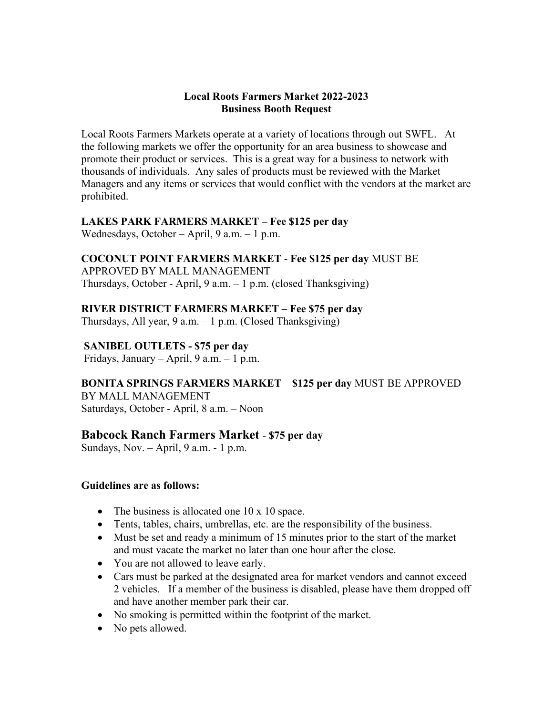#### **Local Roots Farmers Market 2022-2023 Business Booth Request**

Local Roots Farmers Markets operate at a variety of locations through out SWFL. At the following markets we offer the opportunity for an area business to showcase and promote their product or services. This is a great way for a business to network with thousands of individuals. Any sales of products must be reviewed with the Market Managers and any items or services that would conflict with the vendors at the market are prohibited.

### **LAKES PARK FARMERS MARKET – Fee \$125 per day**

Wednesdays, October – April, 9 a.m. – 1 p.m.

### **COCONUT POINT FARMERS MARKET** - **Fee \$125 per day** MUST BE

APPROVED BY MALL MANAGEMENT Thursdays, October - April, 9 a.m. – 1 p.m. (closed Thanksgiving)

### **RIVER DISTRICT FARMERS MARKET – Fee \$75 per day**

Thursdays, All year, 9 a.m. – 1 p.m. (Closed Thanksgiving)

## **SANIBEL OUTLETS - \$75 per day**

Fridays, January – April, 9 a.m. – 1 p.m.

**BONITA SPRINGS FARMERS MARKET** – **\$125 per day** MUST BE APPROVED

BY MALL MANAGEMENT Saturdays, October - April, 8 a.m. – Noon

# **Babcock Ranch Farmers Market** - **\$75 per day**

Sundays, Nov. – April, 9 a.m. - 1 p.m.

### **Guidelines are as follows:**

- The business is allocated one 10 x 10 space.
- Tents, tables, chairs, umbrellas, etc. are the responsibility of the business.
- Must be set and ready a minimum of 15 minutes prior to the start of the market and must vacate the market no later than one hour after the close.
- You are not allowed to leave early.
- Cars must be parked at the designated area for market vendors and cannot exceed 2 vehicles. If a member of the business is disabled, please have them dropped off and have another member park their car.
- No smoking is permitted within the footprint of the market.
- No pets allowed.